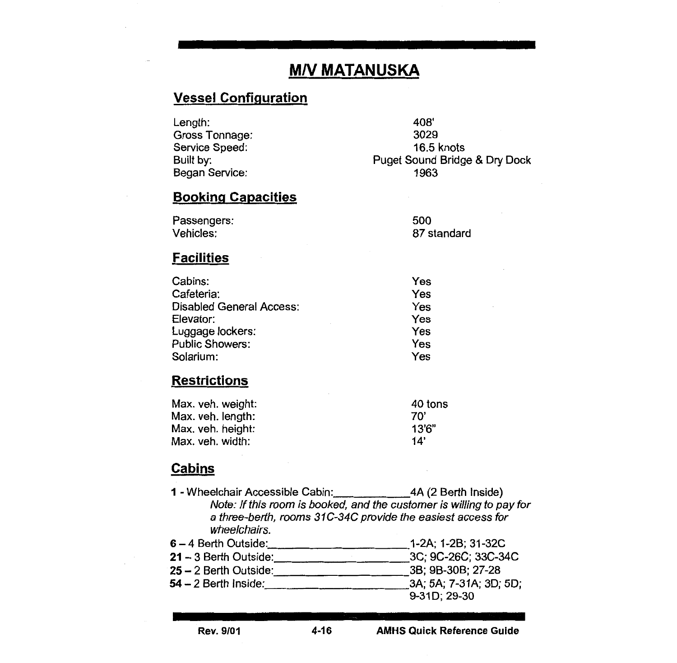# **M/V MATANUSKA**

## Vessel Configuration

Length: Gross Tonnage: Service Speed: Built by: Began Service:

408' 3029 16.5 knots Puget Sound Bridge & Dry Dock 1963

## Booking Capacities

| Passengers: | 500         |
|-------------|-------------|
| Vehicles:   | 87 standard |

#### **Facilities**

| Yes |
|-----|
| Yes |
| Yes |
| Yes |
| Yes |
| Yes |
| Yes |
|     |

### **Restrictions**

| 40 tons |
|---------|
| 70'     |
| 13'6"   |
| 14'     |
|         |

## **Cabins**

- 1 -Wheelchair Accessible Cabin: 4A (2 Berth Inside) Note: If this room is booked, and the customer is willing to pay for a three-berth, rooms 31C-34C provide the easiest access for wheelchairs. 6 – 4 Berth Outside: \_\_\_\_\_\_\_\_\_\_\_\_\_\_\_\_\_\_\_\_\_\_\_\_\_\_\_\_\_\_\_\_1-2A; 1-2B; 31-32C<br>21 – 3 Berth Outside: \_\_\_\_\_\_\_\_\_\_\_\_\_\_\_\_\_\_\_\_\_\_\_\_\_\_\_\_\_\_\_\_3C; 9C-26C; 33C-34C  $21 - 3$  Berth Outside:  $\frac{3}{2}$ 25- 2 Berth Outside: 38; 9B-30B; 27-28
- 54 2 Berth Inside: 3A; 5A; 7-31A; 3D; 5D; 9-310; 29-30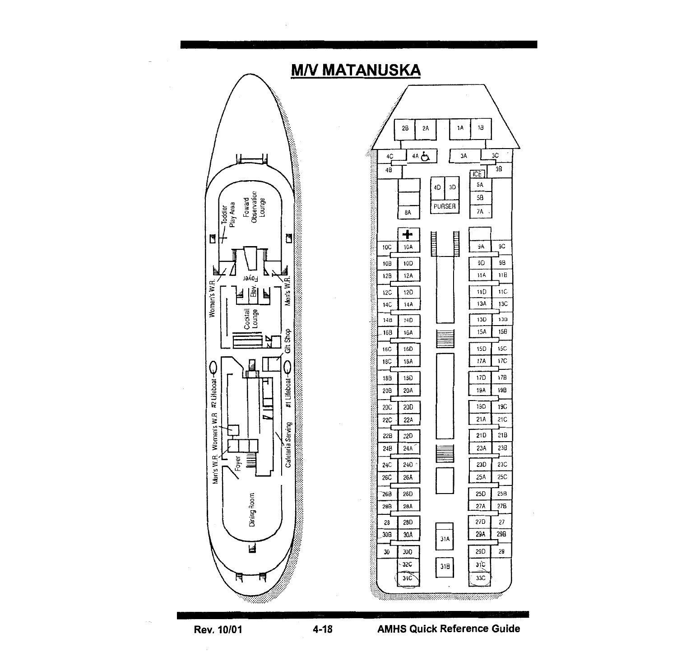